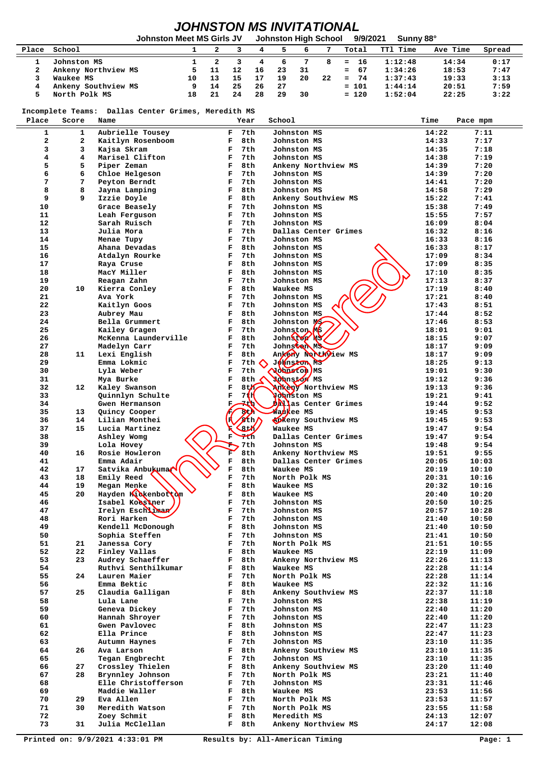## *JOHNSTON MS INVITATIONAL*

|       |                     | Johnston Meet MS Girls JV |    |    |    |    |     | Johnston High School | 9/9/2021  | Sunny 88° |          |        |
|-------|---------------------|---------------------------|----|----|----|----|-----|----------------------|-----------|-----------|----------|--------|
| Place | School              |                           |    |    |    |    |     |                      | Total     | TT1 Time  | Ave Time | Spread |
|       | Johnston MS         |                           |    |    |    | ь  |     |                      | $= 16$    | 1:12:48   | 14:34    | 0:17   |
|       | Ankeny Northview MS |                           |    | 12 | 16 | 23 | -31 |                      | $= 67$    | 1:34:26   | 18:53    | 7:47   |
|       | Waukee MS           | 10                        |    | 15 | 17 | 19 | 20  | 22                   | 74<br>$=$ | 1:37:43   | 19:33    | 3:13   |
|       | Ankeny Southview MS | 9.                        | 14 | 25 | 26 | 27 |     |                      | $= 101$   | 1:44:14   | 20:51    | 7:59   |
|       | North Polk MS       | 18                        | 21 | 24 | 28 | 29 | 30  |                      | $= 120$   | 1:52:04   | 22:25    | 3:22   |

 **Incomplete Teams: Dallas Center Grimes, Meredith MS**

|       |                 | Incomplete reams: Dailas Center Grimes, Meredith MS |                       |                           |                            |       |          |
|-------|-----------------|-----------------------------------------------------|-----------------------|---------------------------|----------------------------|-------|----------|
| Place | Score           | Name                                                |                       | Year                      | School                     | Time  | Pace mpm |
| 1     | $\mathbf{1}$    | Aubrielle Tousey                                    | F                     | 7th                       | Johnston MS                | 14:22 | 7:11     |
| 2     | $\mathbf{2}$    | Kaitlyn Rosenboom                                   | F                     | 8th                       | Johnston MS                | 14:33 | 7:17     |
| 3     | 3               | Kajsa Skram                                         | F                     | 7th                       | Johnston MS                | 14:35 | 7:18     |
| 4     | 4               | Marisel Clifton                                     | F                     | 7th                       | Johnston MS                | 14:38 | 7:19     |
| 5     | 5               | Piper Zeman                                         | F                     | 8th                       | Ankeny Northview MS        | 14:39 | 7:20     |
| 6     | 6               | Chloe Helgeson                                      | F                     | 7th                       | Johnston MS                | 14:39 | 7:20     |
| 7     | 7               | Peyton Berndt                                       | F                     | 7th                       | Johnston MS                | 14:41 | 7:20     |
| 8     | 8               | Jayna Lamping                                       | F                     | 8th                       | Johnston MS                | 14:58 | 7:29     |
| 9     | 9               | Izzie Doyle                                         | F                     | 8th                       | Ankeny Southview MS        | 15:22 | 7:41     |
| 10    |                 | Grace Beasely                                       | F                     | 7th                       | Johnston MS                | 15:38 | 7:49     |
| 11    |                 | Leah Ferguson                                       | F                     | 7th                       | Johnston MS                | 15:55 | 7:57     |
| 12    |                 | Sarah Ruisch                                        | F                     | 7th                       | Johnston MS                | 16:09 | 8:04     |
| 13    |                 | Julia Mora                                          | F                     | 7th                       | Dallas Center Grimes       | 16:32 | 8:16     |
| 14    |                 | Menae Tupy                                          | F                     | 7th                       | Johnston MS                | 16:33 | 8:16     |
| 15    |                 | Ahana Devadas                                       | F                     | 8th                       | Johnston MS                | 16:33 | 8:17     |
| 16    |                 | Atdalyn Rourke                                      | F                     | 7th                       | Johnston MS                | 17:09 | 8:34     |
| 17    |                 | Raya Cruse                                          | F                     | 8th                       | Johnston MS                | 17:09 | 8:35     |
| 18    |                 | MacY Miller                                         | F                     | 8th                       | Johnston MS                | 17:10 | 8:35     |
| 19    |                 | Reagan Zahn                                         | F                     | 7th                       | Johnston MS                | 17:13 | 8:37     |
| 20    | 10              | Kierra Conley                                       | F                     | 8th                       | Waukee MS                  | 17:19 | 8:40     |
| 21    |                 | Ava York                                            | F                     | 7th                       | Johnston MS                | 17:21 | 8:40     |
| 22    |                 | Kaitlyn Goos                                        | F                     | 7th                       | Johnston MS                | 17:43 | 8:51     |
| 23    |                 | Aubrey Mau                                          | F                     | 8th                       | Johnston MS                | 17:44 | 8:52     |
| 24    |                 | Bella Grummert                                      | F                     | 8th                       | Johnston MC                | 17:46 | 8:53     |
| 25    |                 | Kailey Gragen                                       | F                     | 7th                       | Johnston MS                | 18:01 | 9:01     |
| 26    |                 | McKenna Launderville                                | F                     | 8th                       | Johnston My                | 18:15 | 9:07     |
| 27    |                 | Madelyn Carr                                        | F                     | 7th                       | Johnston MS                | 18:17 | 9:09     |
| 28    | 11              | Lexi English                                        | F                     | 8th                       | Ankery Northview MS        | 18:17 | 9:09     |
| 29    |                 | Emma Lokmic                                         | F                     | 7th                       | Johnston Ms                | 18:25 | 9:13     |
| 30    |                 | Lyla Weber                                          | $\mathbf F$           | 7th                       | Johnston MS                | 19:01 | 9:30     |
| 31    |                 | Mya Burke                                           | $\mathbf F$           | 8th                       | Nohnston MS                | 19:12 | 9:36     |
| 32    | 12              | Kaley Swanson                                       | $\mathbf F$           | 8t                        | Ankany Northview MS        | 19:13 | 9:36     |
| 33    |                 | Quinnlyn Schulte                                    | $\mathbf F$           | 7(1)                      | Johnston MS                | 19:21 | 9:41     |
| 34    |                 | Gwen Hermanson                                      | $\mathbf F$           | 7tb                       | <b>DANas Center Grimes</b> | 19:44 | 9:52     |
| 35    | 13 <sup>1</sup> | Quincy Cooper                                       |                       | $\sum$                    | <b>Watkee MS</b>           | 19:45 | 9:53     |
| 36    | 14              | Lilian Monthei                                      |                       | <b>ZEM</b>                | <b>Ankeny</b> Southview MS | 19:45 | 9:53     |
| 37    | 15              | Lucia Martinez                                      |                       | $3-t$                     | Waukee MS                  | 19:47 | 9:54     |
| 38    |                 | Ashley Womg                                         | F                     | $\mathcal{F}_{\text{th}}$ | Dallas Center Grimes       | 19:47 | 9:54     |
| 39    |                 | Lola Hovey                                          | ÷                     | 7th                       | Johnston MS                | 19:48 | 9:54     |
| 40    | 16              | Rosie Howleron                                      | Г                     | 8th                       | Ankeny Northview MS        | 19:51 | 9:55     |
| 41    |                 | Emma Adair                                          | $\overline{\text{F}}$ | 8th                       | Dallas Center Grimes       | 20:05 | 10:03    |
| 42    | 17              | Satvika Anbukumax                                   | $\mathbf F$           | 8th                       | Waukee MS                  | 20:19 | 10:10    |
| 43    | 18              | Emily Reed                                          | $\mathbf F$           | 7th                       | North Polk MS              | 20:31 | 10:16    |
| 44    | 19              | Megan Menke                                         | $\mathbf F$           | 8th                       | Waukee MS                  | 20:32 | 10:16    |
| 45    | 20              | Hayden Kickenbottom                                 | $\mathbf F$           | 8th                       | Waukee MS                  | 20:40 | 10:20    |
| 46    |                 | Isabel Koeskner                                     | $\mathbf F$           | 7th                       | Johnston MS                | 20:50 | 10:25    |
| 47    |                 | Irelyn Eschlinar                                    | $\mathbf F$           | 7th                       | Johnston MS                | 20:57 | 10:28    |
| 48    |                 | Rori Harken<br>$\sim$                               | F                     | 7th                       | Johnston MS                | 21:40 | 10:50    |
| 49    |                 | Kendell McDonough                                   | F.                    | 8th                       | Johnston MS                | 21:40 | 10:50    |
| 50    |                 | Sophia Steffen                                      | F                     | 7th                       | Johnston MS                | 21:41 | 10:50    |
| 51    | 21              | Janessa Cory                                        | F                     | 7th                       | North Polk MS              | 21:51 | 10:55    |
| 52    | 22              | Finley Vallas                                       | F                     | 8th                       | Waukee MS                  | 22:19 | 11:09    |
| 53    | 23              | Audrey Schaeffer                                    | F                     | 8th                       | Ankeny Northview MS        | 22:26 | 11:13    |
| 54    |                 | Ruthvi Senthilkumar                                 | F                     | 8th                       | Waukee MS                  | 22:28 | 11:14    |
| 55    | 24              | Lauren Maier                                        | F                     | 7th                       | North Polk MS              | 22:28 | 11:14    |
| 56    |                 | Emma Bektic                                         | F                     | 8th                       | Waukee MS                  | 22:32 | 11:16    |
| 57    | 25              | Claudia Galligan                                    | F                     | 8th                       | Ankeny Southview MS        | 22:37 | 11:18    |
| 58    |                 | Lula Lane                                           | F                     | 7th                       | Johnston MS                | 22:38 | 11:19    |
| 59    |                 | Geneva Dickey                                       | F                     | 7th                       | Johnston MS                | 22:40 | 11:20    |
| 60    |                 | Hannah Shroyer                                      | F                     | 7th                       | Johnston MS                | 22:40 | 11:20    |
| 61    |                 | Gwen Pavlovec                                       | F                     | 8th                       | Johnston MS                | 22:47 | 11:23    |
| 62    |                 | Ella Prince                                         | F                     | 8th                       | Johnston MS                | 22:47 | 11:23    |
| 63    |                 | Autumn Haynes                                       | F                     | 7th                       | Johnston MS                | 23:10 | 11:35    |
| 64    | 26              | Ava Larson                                          | F                     | 8th                       | Ankeny Southview MS        | 23:10 | 11:35    |
| 65    |                 | Tegan Engbrecht                                     | F                     | 7th                       | Johnston MS                | 23:10 | 11:35    |
| 66    | 27              | Crossley Thielen                                    | F                     | 8th                       | Ankeny Southview MS        | 23:20 | 11:40    |
| 67    | 28              | Brynnley Johnson                                    | F                     | 7th                       | North Polk MS              | 23:21 | 11:40    |
| 68    |                 | Elle Christofferson                                 | F                     | 7th                       | Johnston MS                | 23:31 | 11:46    |
| 69    |                 | Maddie Waller                                       | F                     | 8th                       | Waukee MS                  | 23:53 | 11:56    |
| 70    | 29              | Eva Allen                                           | F                     | 7th                       | North Polk MS              | 23:53 | 11:57    |
| 71    | 30              | Meredith Watson                                     | F                     | 7th                       | North Polk MS              | 23:55 | 11:58    |
| 72    |                 | Zoey Schmit                                         | F                     | 8th                       | Meredith MS                | 24:13 | 12:07    |
| 73    | 31              | Julia McClellan                                     | $\mathbf{F}$          | 8th                       | Ankeny Northview MS        | 24:17 | 12:08    |
|       |                 |                                                     |                       |                           |                            |       |          |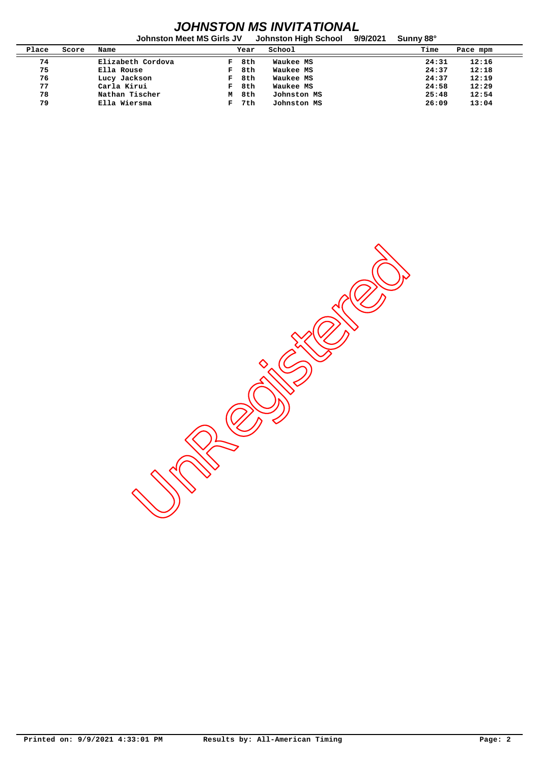## *JOHNSTON MS INVITATIONAL*

|       |       | <b>Johnston Meet MS Girls JV</b> |   |      | Johnston High School | 9/9/2021 | Sunny 88° |          |
|-------|-------|----------------------------------|---|------|----------------------|----------|-----------|----------|
| Place | Score | Name                             |   | Year | School               |          | Time      | Pace mpm |
| 74    |       | Elizabeth Cordova                | F | 8th  | Waukee MS            |          | 24:31     | 12:16    |
| 75    |       | Ella Rouse                       | F | 8th  | Waukee MS            |          | 24:37     | 12:18    |
| 76    |       | Lucy Jackson                     | F | 8th  | Waukee MS            |          | 24:37     | 12:19    |
| 77    |       | Carla Kirui                      | F | 8th  | Waukee MS            |          | 24:58     | 12:29    |
| 78    |       | Nathan Tischer                   | М | 8th  | Johnston MS          |          | 25:48     | 12:54    |
| 79    |       | Ella Wiersma                     | F | 7th  | Johnston MS          |          | 26:09     | 13:04    |

Undergister